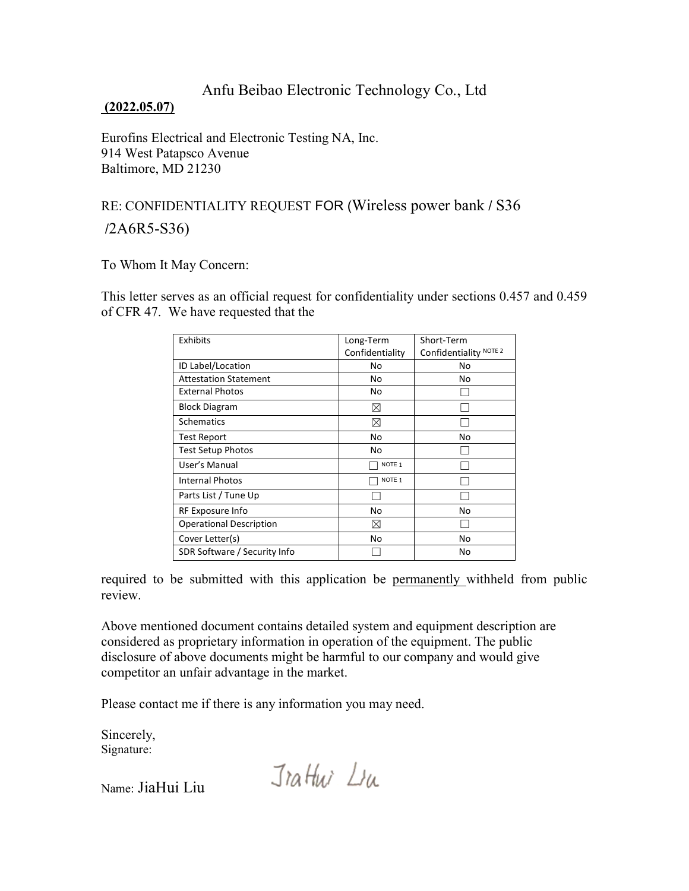## Anfu Beibao Electronic Technology Co., Ltd

## **(2022.05.07)**

Eurofins Electrical and Electronic Testing NA, Inc. 914 West Patapsco Avenue Baltimore, MD 21230

## RE: CONFIDENTIALITY REQUEST FOR (Wireless power bank / S36 /2A6R5-S36)

To Whom It May Concern:

This letter serves as an official request for confidentiality under sections 0.457 and 0.459 of CFR 47. We have requested that the

| Exhibits                       | Long-Term         | Short-Term             |
|--------------------------------|-------------------|------------------------|
|                                | Confidentiality   | Confidentiality NOTE 2 |
| ID Label/Location              | No                | No                     |
| <b>Attestation Statement</b>   | No                | No                     |
| <b>External Photos</b>         | No                |                        |
| <b>Block Diagram</b>           | ⊠                 |                        |
| <b>Schematics</b>              | ⊠                 |                        |
| Test Report                    | No                | No                     |
| Test Setup Photos              | No                |                        |
| User's Manual                  | NOTE <sub>1</sub> |                        |
| <b>Internal Photos</b>         | NOTE <sub>1</sub> |                        |
| Parts List / Tune Up           |                   |                        |
| RF Exposure Info               | No                | No                     |
| <b>Operational Description</b> | ⊠                 |                        |
| Cover Letter(s)                | No                | No                     |
| SDR Software / Security Info   |                   | No                     |

required to be submitted with this application be permanently withheld from public review.

Above mentioned document contains detailed system and equipment description are considered as proprietary information in operation of the equipment. The public disclosure of above documents might be harmful to our company and would give competitor an unfair advantage in the market.

Please contact me if there is any information you may need.

Sincerely, Signature:

Name: JiaHui Liu

Jrathi Lu